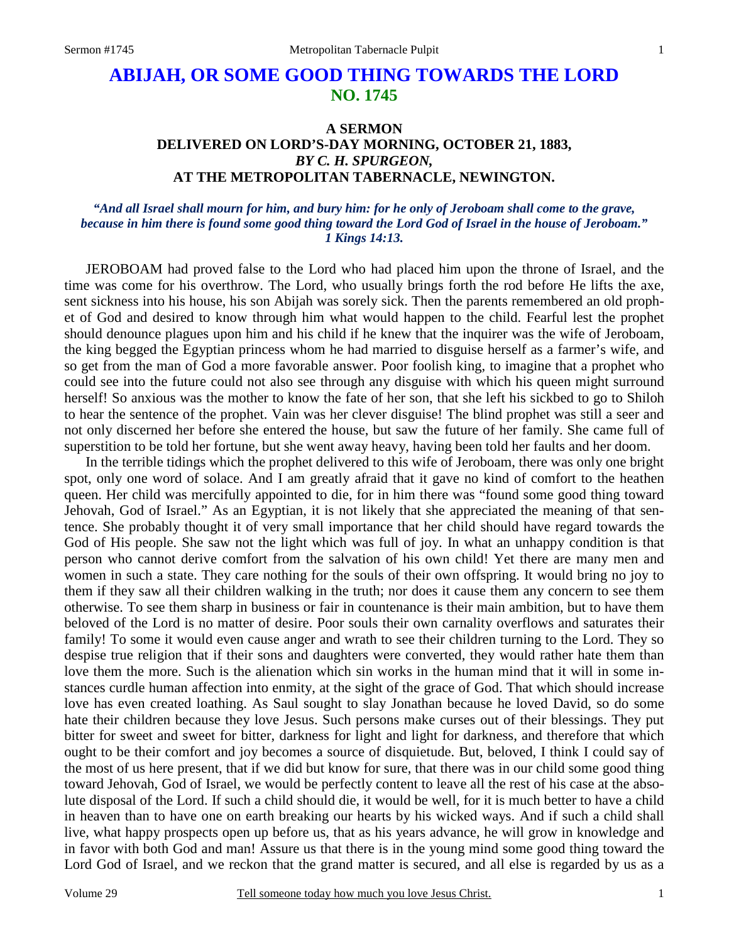## **ABIJAH, OR SOME GOOD THING TOWARDS THE LORD NO. 1745**

## **A SERMON DELIVERED ON LORD'S-DAY MORNING, OCTOBER 21, 1883,**  *BY C. H. SPURGEON,*  **AT THE METROPOLITAN TABERNACLE, NEWINGTON.**

## *"And all Israel shall mourn for him, and bury him: for he only of Jeroboam shall come to the grave, because in him there is found some good thing toward the Lord God of Israel in the house of Jeroboam." 1 Kings 14:13.*

JEROBOAM had proved false to the Lord who had placed him upon the throne of Israel, and the time was come for his overthrow. The Lord, who usually brings forth the rod before He lifts the axe, sent sickness into his house, his son Abijah was sorely sick. Then the parents remembered an old prophet of God and desired to know through him what would happen to the child. Fearful lest the prophet should denounce plagues upon him and his child if he knew that the inquirer was the wife of Jeroboam, the king begged the Egyptian princess whom he had married to disguise herself as a farmer's wife, and so get from the man of God a more favorable answer. Poor foolish king, to imagine that a prophet who could see into the future could not also see through any disguise with which his queen might surround herself! So anxious was the mother to know the fate of her son, that she left his sickbed to go to Shiloh to hear the sentence of the prophet. Vain was her clever disguise! The blind prophet was still a seer and not only discerned her before she entered the house, but saw the future of her family. She came full of superstition to be told her fortune, but she went away heavy, having been told her faults and her doom.

 In the terrible tidings which the prophet delivered to this wife of Jeroboam, there was only one bright spot, only one word of solace. And I am greatly afraid that it gave no kind of comfort to the heathen queen. Her child was mercifully appointed to die, for in him there was "found some good thing toward Jehovah, God of Israel." As an Egyptian, it is not likely that she appreciated the meaning of that sentence. She probably thought it of very small importance that her child should have regard towards the God of His people. She saw not the light which was full of joy. In what an unhappy condition is that person who cannot derive comfort from the salvation of his own child! Yet there are many men and women in such a state. They care nothing for the souls of their own offspring. It would bring no joy to them if they saw all their children walking in the truth; nor does it cause them any concern to see them otherwise. To see them sharp in business or fair in countenance is their main ambition, but to have them beloved of the Lord is no matter of desire. Poor souls their own carnality overflows and saturates their family! To some it would even cause anger and wrath to see their children turning to the Lord. They so despise true religion that if their sons and daughters were converted, they would rather hate them than love them the more. Such is the alienation which sin works in the human mind that it will in some instances curdle human affection into enmity, at the sight of the grace of God. That which should increase love has even created loathing. As Saul sought to slay Jonathan because he loved David, so do some hate their children because they love Jesus. Such persons make curses out of their blessings. They put bitter for sweet and sweet for bitter, darkness for light and light for darkness, and therefore that which ought to be their comfort and joy becomes a source of disquietude. But, beloved, I think I could say of the most of us here present, that if we did but know for sure, that there was in our child some good thing toward Jehovah, God of Israel, we would be perfectly content to leave all the rest of his case at the absolute disposal of the Lord. If such a child should die, it would be well, for it is much better to have a child in heaven than to have one on earth breaking our hearts by his wicked ways. And if such a child shall live, what happy prospects open up before us, that as his years advance, he will grow in knowledge and in favor with both God and man! Assure us that there is in the young mind some good thing toward the Lord God of Israel, and we reckon that the grand matter is secured, and all else is regarded by us as a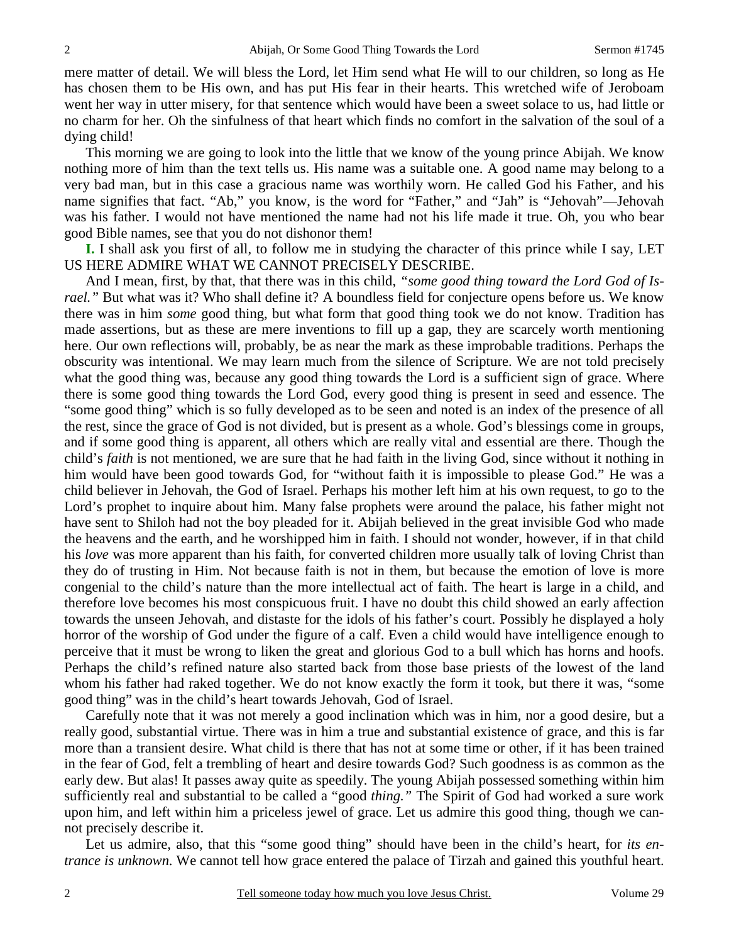mere matter of detail. We will bless the Lord, let Him send what He will to our children, so long as He has chosen them to be His own, and has put His fear in their hearts. This wretched wife of Jeroboam went her way in utter misery, for that sentence which would have been a sweet solace to us, had little or no charm for her. Oh the sinfulness of that heart which finds no comfort in the salvation of the soul of a dying child!

 This morning we are going to look into the little that we know of the young prince Abijah. We know nothing more of him than the text tells us. His name was a suitable one. A good name may belong to a very bad man, but in this case a gracious name was worthily worn. He called God his Father, and his name signifies that fact. "Ab," you know, is the word for "Father," and "Jah" is "Jehovah"—Jehovah was his father. I would not have mentioned the name had not his life made it true. Oh, you who bear good Bible names, see that you do not dishonor them!

**I.** I shall ask you first of all, to follow me in studying the character of this prince while I say, LET US HERE ADMIRE WHAT WE CANNOT PRECISELY DESCRIBE.

 And I mean, first, by that, that there was in this child, *"some good thing toward the Lord God of Israel.*" But what was it? Who shall define it? A boundless field for conjecture opens before us. We know there was in him *some* good thing, but what form that good thing took we do not know. Tradition has made assertions, but as these are mere inventions to fill up a gap, they are scarcely worth mentioning here. Our own reflections will, probably, be as near the mark as these improbable traditions. Perhaps the obscurity was intentional. We may learn much from the silence of Scripture. We are not told precisely what the good thing was, because any good thing towards the Lord is a sufficient sign of grace. Where there is some good thing towards the Lord God, every good thing is present in seed and essence. The "some good thing" which is so fully developed as to be seen and noted is an index of the presence of all the rest, since the grace of God is not divided, but is present as a whole. God's blessings come in groups, and if some good thing is apparent, all others which are really vital and essential are there. Though the child's *faith* is not mentioned, we are sure that he had faith in the living God, since without it nothing in him would have been good towards God, for "without faith it is impossible to please God." He was a child believer in Jehovah, the God of Israel. Perhaps his mother left him at his own request, to go to the Lord's prophet to inquire about him. Many false prophets were around the palace, his father might not have sent to Shiloh had not the boy pleaded for it. Abijah believed in the great invisible God who made the heavens and the earth, and he worshipped him in faith. I should not wonder, however, if in that child his *love* was more apparent than his faith, for converted children more usually talk of loving Christ than they do of trusting in Him. Not because faith is not in them, but because the emotion of love is more congenial to the child's nature than the more intellectual act of faith. The heart is large in a child, and therefore love becomes his most conspicuous fruit. I have no doubt this child showed an early affection towards the unseen Jehovah, and distaste for the idols of his father's court. Possibly he displayed a holy horror of the worship of God under the figure of a calf. Even a child would have intelligence enough to perceive that it must be wrong to liken the great and glorious God to a bull which has horns and hoofs. Perhaps the child's refined nature also started back from those base priests of the lowest of the land whom his father had raked together. We do not know exactly the form it took, but there it was, "some good thing" was in the child's heart towards Jehovah, God of Israel.

 Carefully note that it was not merely a good inclination which was in him, nor a good desire, but a really good, substantial virtue. There was in him a true and substantial existence of grace, and this is far more than a transient desire. What child is there that has not at some time or other, if it has been trained in the fear of God, felt a trembling of heart and desire towards God? Such goodness is as common as the early dew. But alas! It passes away quite as speedily. The young Abijah possessed something within him sufficiently real and substantial to be called a "good *thing."* The Spirit of God had worked a sure work upon him, and left within him a priceless jewel of grace. Let us admire this good thing, though we cannot precisely describe it.

 Let us admire, also, that this "some good thing" should have been in the child's heart, for *its entrance is unknown.* We cannot tell how grace entered the palace of Tirzah and gained this youthful heart.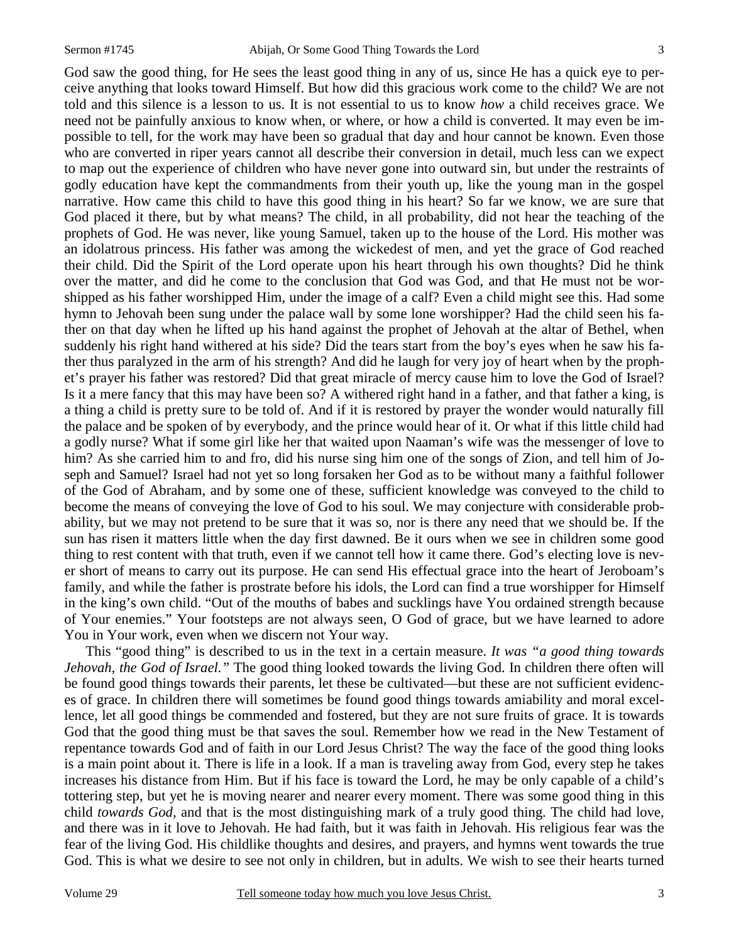God saw the good thing, for He sees the least good thing in any of us, since He has a quick eye to perceive anything that looks toward Himself. But how did this gracious work come to the child? We are not told and this silence is a lesson to us. It is not essential to us to know *how* a child receives grace. We need not be painfully anxious to know when, or where, or how a child is converted. It may even be impossible to tell, for the work may have been so gradual that day and hour cannot be known. Even those who are converted in riper years cannot all describe their conversion in detail, much less can we expect to map out the experience of children who have never gone into outward sin, but under the restraints of godly education have kept the commandments from their youth up, like the young man in the gospel narrative. How came this child to have this good thing in his heart? So far we know, we are sure that God placed it there, but by what means? The child, in all probability, did not hear the teaching of the prophets of God. He was never, like young Samuel, taken up to the house of the Lord. His mother was an idolatrous princess. His father was among the wickedest of men, and yet the grace of God reached their child. Did the Spirit of the Lord operate upon his heart through his own thoughts? Did he think over the matter, and did he come to the conclusion that God was God, and that He must not be worshipped as his father worshipped Him, under the image of a calf? Even a child might see this. Had some hymn to Jehovah been sung under the palace wall by some lone worshipper? Had the child seen his father on that day when he lifted up his hand against the prophet of Jehovah at the altar of Bethel, when suddenly his right hand withered at his side? Did the tears start from the boy's eyes when he saw his father thus paralyzed in the arm of his strength? And did he laugh for very joy of heart when by the prophet's prayer his father was restored? Did that great miracle of mercy cause him to love the God of Israel? Is it a mere fancy that this may have been so? A withered right hand in a father, and that father a king, is a thing a child is pretty sure to be told of. And if it is restored by prayer the wonder would naturally fill the palace and be spoken of by everybody, and the prince would hear of it. Or what if this little child had a godly nurse? What if some girl like her that waited upon Naaman's wife was the messenger of love to him? As she carried him to and fro, did his nurse sing him one of the songs of Zion, and tell him of Joseph and Samuel? Israel had not yet so long forsaken her God as to be without many a faithful follower of the God of Abraham, and by some one of these, sufficient knowledge was conveyed to the child to become the means of conveying the love of God to his soul. We may conjecture with considerable probability, but we may not pretend to be sure that it was so, nor is there any need that we should be. If the sun has risen it matters little when the day first dawned. Be it ours when we see in children some good thing to rest content with that truth, even if we cannot tell how it came there. God's electing love is never short of means to carry out its purpose. He can send His effectual grace into the heart of Jeroboam's family, and while the father is prostrate before his idols, the Lord can find a true worshipper for Himself in the king's own child. "Out of the mouths of babes and sucklings have You ordained strength because of Your enemies." Your footsteps are not always seen, O God of grace, but we have learned to adore You in Your work, even when we discern not Your way.

 This "good thing" is described to us in the text in a certain measure. *It was "a good thing towards Jehovah, the God of Israel."* The good thing looked towards the living God. In children there often will be found good things towards their parents, let these be cultivated—but these are not sufficient evidences of grace. In children there will sometimes be found good things towards amiability and moral excellence, let all good things be commended and fostered, but they are not sure fruits of grace. It is towards God that the good thing must be that saves the soul. Remember how we read in the New Testament of repentance towards God and of faith in our Lord Jesus Christ? The way the face of the good thing looks is a main point about it. There is life in a look. If a man is traveling away from God, every step he takes increases his distance from Him. But if his face is toward the Lord, he may be only capable of a child's tottering step, but yet he is moving nearer and nearer every moment. There was some good thing in this child *towards God,* and that is the most distinguishing mark of a truly good thing. The child had love, and there was in it love to Jehovah. He had faith, but it was faith in Jehovah. His religious fear was the fear of the living God. His childlike thoughts and desires, and prayers, and hymns went towards the true God. This is what we desire to see not only in children, but in adults. We wish to see their hearts turned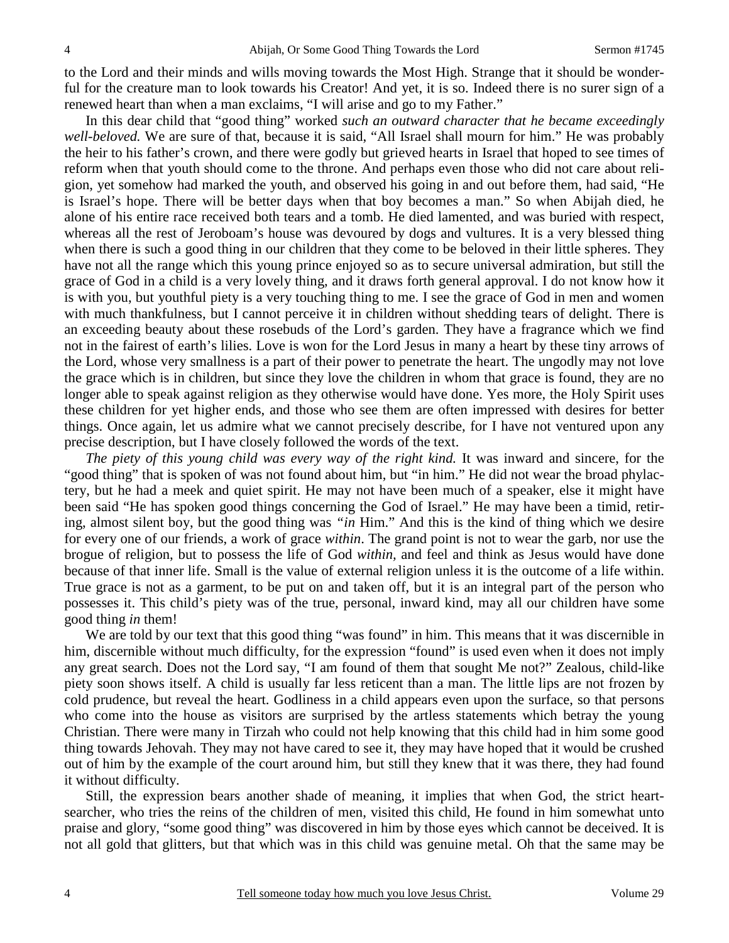to the Lord and their minds and wills moving towards the Most High. Strange that it should be wonderful for the creature man to look towards his Creator! And yet, it is so. Indeed there is no surer sign of a renewed heart than when a man exclaims, "I will arise and go to my Father."

 In this dear child that "good thing" worked *such an outward character that he became exceedingly well-beloved.* We are sure of that, because it is said, "All Israel shall mourn for him." He was probably the heir to his father's crown, and there were godly but grieved hearts in Israel that hoped to see times of reform when that youth should come to the throne. And perhaps even those who did not care about religion, yet somehow had marked the youth, and observed his going in and out before them, had said, "He is Israel's hope. There will be better days when that boy becomes a man." So when Abijah died, he alone of his entire race received both tears and a tomb. He died lamented, and was buried with respect, whereas all the rest of Jeroboam's house was devoured by dogs and vultures. It is a very blessed thing when there is such a good thing in our children that they come to be beloved in their little spheres. They have not all the range which this young prince enjoyed so as to secure universal admiration, but still the grace of God in a child is a very lovely thing, and it draws forth general approval. I do not know how it is with you, but youthful piety is a very touching thing to me. I see the grace of God in men and women with much thankfulness, but I cannot perceive it in children without shedding tears of delight. There is an exceeding beauty about these rosebuds of the Lord's garden. They have a fragrance which we find not in the fairest of earth's lilies. Love is won for the Lord Jesus in many a heart by these tiny arrows of the Lord, whose very smallness is a part of their power to penetrate the heart. The ungodly may not love the grace which is in children, but since they love the children in whom that grace is found, they are no longer able to speak against religion as they otherwise would have done. Yes more, the Holy Spirit uses these children for yet higher ends, and those who see them are often impressed with desires for better things. Once again, let us admire what we cannot precisely describe, for I have not ventured upon any precise description, but I have closely followed the words of the text.

*The piety of this young child was every way of the right kind.* It was inward and sincere, for the "good thing" that is spoken of was not found about him, but "in him." He did not wear the broad phylactery, but he had a meek and quiet spirit. He may not have been much of a speaker, else it might have been said "He has spoken good things concerning the God of Israel." He may have been a timid, retiring, almost silent boy, but the good thing was *"in* Him." And this is the kind of thing which we desire for every one of our friends, a work of grace *within*. The grand point is not to wear the garb, nor use the brogue of religion, but to possess the life of God *within,* and feel and think as Jesus would have done because of that inner life. Small is the value of external religion unless it is the outcome of a life within. True grace is not as a garment, to be put on and taken off, but it is an integral part of the person who possesses it. This child's piety was of the true, personal, inward kind, may all our children have some good thing *in* them!

 We are told by our text that this good thing "was found" in him. This means that it was discernible in him, discernible without much difficulty, for the expression "found" is used even when it does not imply any great search. Does not the Lord say, "I am found of them that sought Me not?" Zealous, child-like piety soon shows itself. A child is usually far less reticent than a man. The little lips are not frozen by cold prudence, but reveal the heart. Godliness in a child appears even upon the surface, so that persons who come into the house as visitors are surprised by the artless statements which betray the young Christian. There were many in Tirzah who could not help knowing that this child had in him some good thing towards Jehovah. They may not have cared to see it, they may have hoped that it would be crushed out of him by the example of the court around him, but still they knew that it was there, they had found it without difficulty.

 Still, the expression bears another shade of meaning, it implies that when God, the strict heartsearcher, who tries the reins of the children of men, visited this child, He found in him somewhat unto praise and glory, "some good thing" was discovered in him by those eyes which cannot be deceived. It is not all gold that glitters, but that which was in this child was genuine metal. Oh that the same may be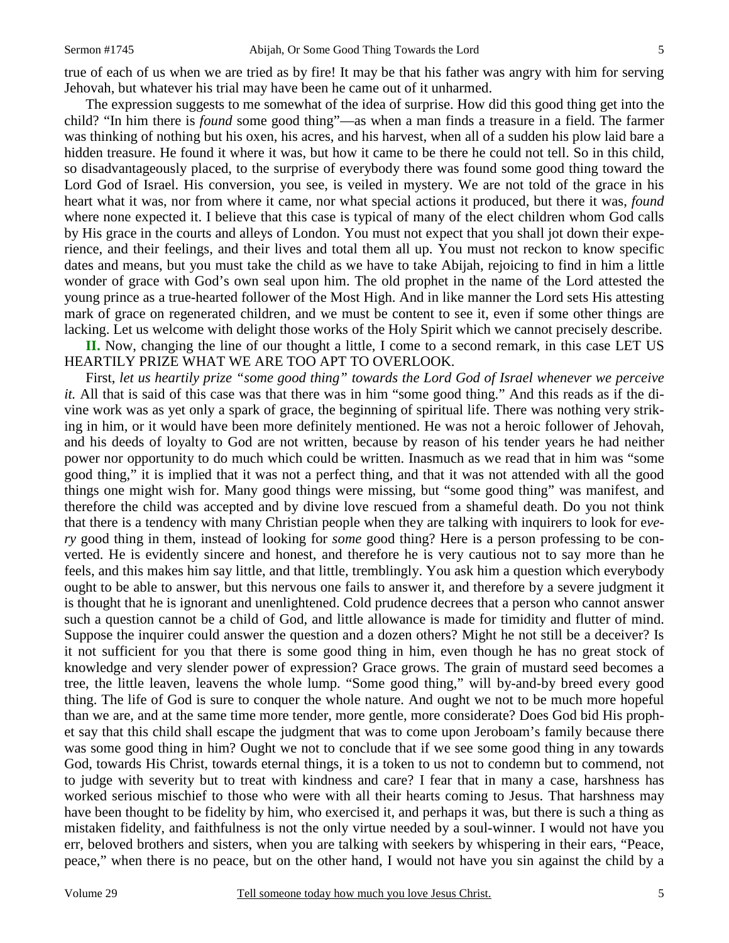true of each of us when we are tried as by fire! It may be that his father was angry with him for serving Jehovah, but whatever his trial may have been he came out of it unharmed.

 The expression suggests to me somewhat of the idea of surprise. How did this good thing get into the child? "In him there is *found* some good thing"—as when a man finds a treasure in a field. The farmer was thinking of nothing but his oxen, his acres, and his harvest, when all of a sudden his plow laid bare a hidden treasure. He found it where it was, but how it came to be there he could not tell. So in this child, so disadvantageously placed, to the surprise of everybody there was found some good thing toward the Lord God of Israel. His conversion, you see, is veiled in mystery. We are not told of the grace in his heart what it was, nor from where it came, nor what special actions it produced, but there it was, *found* where none expected it. I believe that this case is typical of many of the elect children whom God calls by His grace in the courts and alleys of London. You must not expect that you shall jot down their experience, and their feelings, and their lives and total them all up. You must not reckon to know specific dates and means, but you must take the child as we have to take Abijah, rejoicing to find in him a little wonder of grace with God's own seal upon him. The old prophet in the name of the Lord attested the young prince as a true-hearted follower of the Most High. And in like manner the Lord sets His attesting mark of grace on regenerated children, and we must be content to see it, even if some other things are lacking. Let us welcome with delight those works of the Holy Spirit which we cannot precisely describe.

**II.** Now, changing the line of our thought a little, I come to a second remark, in this case LET US HEARTILY PRIZE WHAT WE ARE TOO APT TO OVERLOOK.

 First, *let us heartily prize "some good thing" towards the Lord God of Israel whenever we perceive it.* All that is said of this case was that there was in him "some good thing." And this reads as if the divine work was as yet only a spark of grace, the beginning of spiritual life. There was nothing very striking in him, or it would have been more definitely mentioned. He was not a heroic follower of Jehovah, and his deeds of loyalty to God are not written, because by reason of his tender years he had neither power nor opportunity to do much which could be written. Inasmuch as we read that in him was "some good thing," it is implied that it was not a perfect thing, and that it was not attended with all the good things one might wish for. Many good things were missing, but "some good thing" was manifest, and therefore the child was accepted and by divine love rescued from a shameful death. Do you not think that there is a tendency with many Christian people when they are talking with inquirers to look for e*very* good thing in them, instead of looking for *some* good thing? Here is a person professing to be converted. He is evidently sincere and honest, and therefore he is very cautious not to say more than he feels, and this makes him say little, and that little, tremblingly. You ask him a question which everybody ought to be able to answer, but this nervous one fails to answer it, and therefore by a severe judgment it is thought that he is ignorant and unenlightened. Cold prudence decrees that a person who cannot answer such a question cannot be a child of God, and little allowance is made for timidity and flutter of mind. Suppose the inquirer could answer the question and a dozen others? Might he not still be a deceiver? Is it not sufficient for you that there is some good thing in him, even though he has no great stock of knowledge and very slender power of expression? Grace grows. The grain of mustard seed becomes a tree, the little leaven, leavens the whole lump. "Some good thing," will by-and-by breed every good thing. The life of God is sure to conquer the whole nature. And ought we not to be much more hopeful than we are, and at the same time more tender, more gentle, more considerate? Does God bid His prophet say that this child shall escape the judgment that was to come upon Jeroboam's family because there was some good thing in him? Ought we not to conclude that if we see some good thing in any towards God, towards His Christ, towards eternal things, it is a token to us not to condemn but to commend, not to judge with severity but to treat with kindness and care? I fear that in many a case, harshness has worked serious mischief to those who were with all their hearts coming to Jesus. That harshness may have been thought to be fidelity by him, who exercised it, and perhaps it was, but there is such a thing as mistaken fidelity, and faithfulness is not the only virtue needed by a soul-winner. I would not have you err, beloved brothers and sisters, when you are talking with seekers by whispering in their ears, "Peace, peace," when there is no peace, but on the other hand, I would not have you sin against the child by a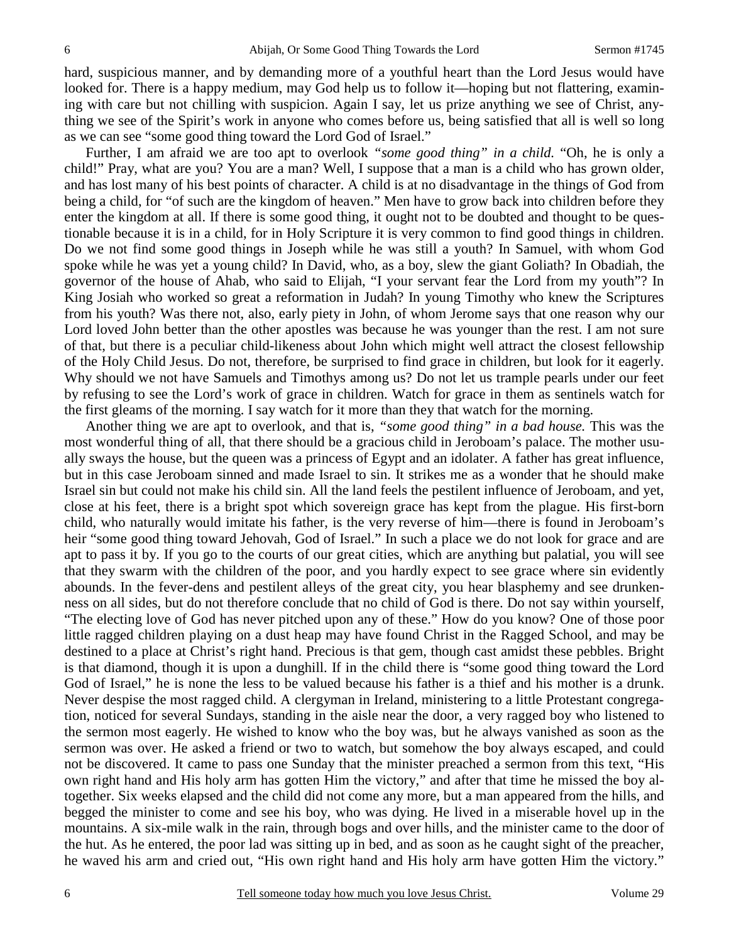hard, suspicious manner, and by demanding more of a youthful heart than the Lord Jesus would have looked for. There is a happy medium, may God help us to follow it—hoping but not flattering, examining with care but not chilling with suspicion. Again I say, let us prize anything we see of Christ, anything we see of the Spirit's work in anyone who comes before us, being satisfied that all is well so long as we can see "some good thing toward the Lord God of Israel."

 Further, I am afraid we are too apt to overlook *"some good thing" in a child.* "Oh, he is only a child!" Pray, what are you? You are a man? Well, I suppose that a man is a child who has grown older, and has lost many of his best points of character. A child is at no disadvantage in the things of God from being a child, for "of such are the kingdom of heaven." Men have to grow back into children before they enter the kingdom at all. If there is some good thing, it ought not to be doubted and thought to be questionable because it is in a child, for in Holy Scripture it is very common to find good things in children. Do we not find some good things in Joseph while he was still a youth? In Samuel, with whom God spoke while he was yet a young child? In David, who, as a boy, slew the giant Goliath? In Obadiah, the governor of the house of Ahab, who said to Elijah, "I your servant fear the Lord from my youth"? In King Josiah who worked so great a reformation in Judah? In young Timothy who knew the Scriptures from his youth? Was there not, also, early piety in John, of whom Jerome says that one reason why our Lord loved John better than the other apostles was because he was younger than the rest. I am not sure of that, but there is a peculiar child-likeness about John which might well attract the closest fellowship of the Holy Child Jesus. Do not, therefore, be surprised to find grace in children, but look for it eagerly. Why should we not have Samuels and Timothys among us? Do not let us trample pearls under our feet by refusing to see the Lord's work of grace in children. Watch for grace in them as sentinels watch for the first gleams of the morning. I say watch for it more than they that watch for the morning.

 Another thing we are apt to overlook, and that is, *"some good thing" in a bad house.* This was the most wonderful thing of all, that there should be a gracious child in Jeroboam's palace. The mother usually sways the house, but the queen was a princess of Egypt and an idolater. A father has great influence, but in this case Jeroboam sinned and made Israel to sin. It strikes me as a wonder that he should make Israel sin but could not make his child sin. All the land feels the pestilent influence of Jeroboam, and yet, close at his feet, there is a bright spot which sovereign grace has kept from the plague. His first-born child, who naturally would imitate his father, is the very reverse of him—there is found in Jeroboam's heir "some good thing toward Jehovah, God of Israel." In such a place we do not look for grace and are apt to pass it by. If you go to the courts of our great cities, which are anything but palatial, you will see that they swarm with the children of the poor, and you hardly expect to see grace where sin evidently abounds. In the fever-dens and pestilent alleys of the great city, you hear blasphemy and see drunkenness on all sides, but do not therefore conclude that no child of God is there. Do not say within yourself, "The electing love of God has never pitched upon any of these." How do you know? One of those poor little ragged children playing on a dust heap may have found Christ in the Ragged School, and may be destined to a place at Christ's right hand. Precious is that gem, though cast amidst these pebbles. Bright is that diamond, though it is upon a dunghill. If in the child there is "some good thing toward the Lord God of Israel," he is none the less to be valued because his father is a thief and his mother is a drunk. Never despise the most ragged child. A clergyman in Ireland, ministering to a little Protestant congregation, noticed for several Sundays, standing in the aisle near the door, a very ragged boy who listened to the sermon most eagerly. He wished to know who the boy was, but he always vanished as soon as the sermon was over. He asked a friend or two to watch, but somehow the boy always escaped, and could not be discovered. It came to pass one Sunday that the minister preached a sermon from this text, "His own right hand and His holy arm has gotten Him the victory," and after that time he missed the boy altogether. Six weeks elapsed and the child did not come any more, but a man appeared from the hills, and begged the minister to come and see his boy, who was dying. He lived in a miserable hovel up in the mountains. A six-mile walk in the rain, through bogs and over hills, and the minister came to the door of the hut. As he entered, the poor lad was sitting up in bed, and as soon as he caught sight of the preacher, he waved his arm and cried out, "His own right hand and His holy arm have gotten Him the victory."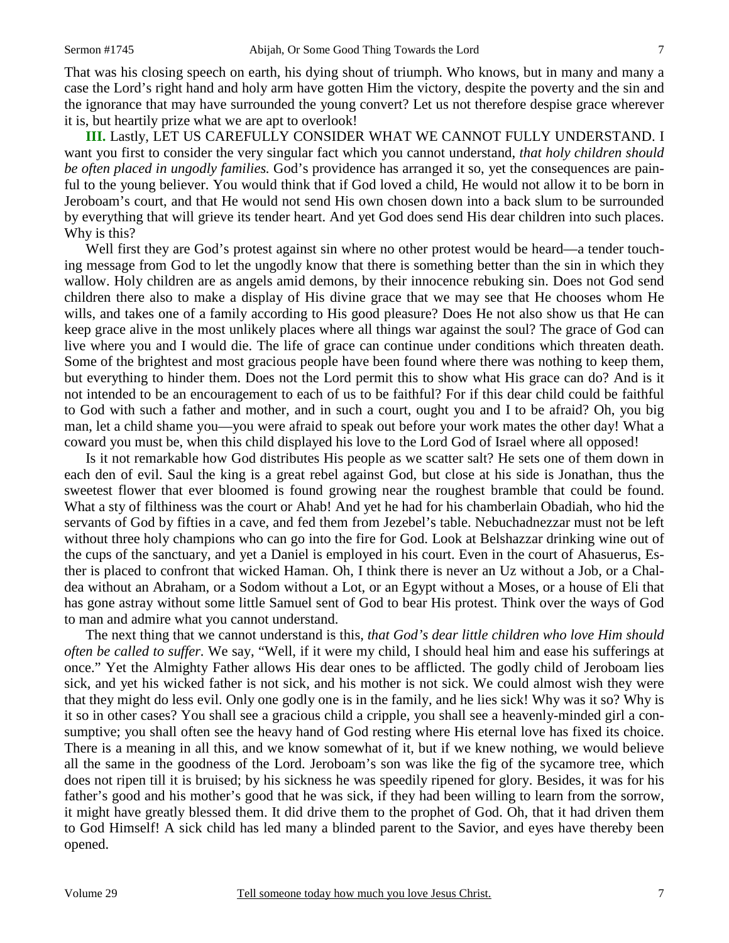That was his closing speech on earth, his dying shout of triumph. Who knows, but in many and many a case the Lord's right hand and holy arm have gotten Him the victory, despite the poverty and the sin and the ignorance that may have surrounded the young convert? Let us not therefore despise grace wherever it is, but heartily prize what we are apt to overlook!

**III.** Lastly, LET US CAREFULLY CONSIDER WHAT WE CANNOT FULLY UNDERSTAND. I want you first to consider the very singular fact which you cannot understand, *that holy children should be often placed in ungodly families.* God's providence has arranged it so, yet the consequences are painful to the young believer. You would think that if God loved a child, He would not allow it to be born in Jeroboam's court, and that He would not send His own chosen down into a back slum to be surrounded by everything that will grieve its tender heart. And yet God does send His dear children into such places. Why is this?

Well first they are God's protest against sin where no other protest would be heard—a tender touching message from God to let the ungodly know that there is something better than the sin in which they wallow. Holy children are as angels amid demons, by their innocence rebuking sin. Does not God send children there also to make a display of His divine grace that we may see that He chooses whom He wills, and takes one of a family according to His good pleasure? Does He not also show us that He can keep grace alive in the most unlikely places where all things war against the soul? The grace of God can live where you and I would die. The life of grace can continue under conditions which threaten death. Some of the brightest and most gracious people have been found where there was nothing to keep them, but everything to hinder them. Does not the Lord permit this to show what His grace can do? And is it not intended to be an encouragement to each of us to be faithful? For if this dear child could be faithful to God with such a father and mother, and in such a court, ought you and I to be afraid? Oh, you big man, let a child shame you—you were afraid to speak out before your work mates the other day! What a coward you must be, when this child displayed his love to the Lord God of Israel where all opposed!

 Is it not remarkable how God distributes His people as we scatter salt? He sets one of them down in each den of evil. Saul the king is a great rebel against God, but close at his side is Jonathan, thus the sweetest flower that ever bloomed is found growing near the roughest bramble that could be found. What a sty of filthiness was the court or Ahab! And yet he had for his chamberlain Obadiah, who hid the servants of God by fifties in a cave, and fed them from Jezebel's table. Nebuchadnezzar must not be left without three holy champions who can go into the fire for God. Look at Belshazzar drinking wine out of the cups of the sanctuary, and yet a Daniel is employed in his court. Even in the court of Ahasuerus, Esther is placed to confront that wicked Haman. Oh, I think there is never an Uz without a Job, or a Chaldea without an Abraham, or a Sodom without a Lot, or an Egypt without a Moses, or a house of Eli that has gone astray without some little Samuel sent of God to bear His protest. Think over the ways of God to man and admire what you cannot understand.

 The next thing that we cannot understand is this, *that God's dear little children who love Him should often be called to suffer.* We say, "Well, if it were my child, I should heal him and ease his sufferings at once." Yet the Almighty Father allows His dear ones to be afflicted. The godly child of Jeroboam lies sick, and yet his wicked father is not sick, and his mother is not sick. We could almost wish they were that they might do less evil. Only one godly one is in the family, and he lies sick! Why was it so? Why is it so in other cases? You shall see a gracious child a cripple, you shall see a heavenly-minded girl a consumptive; you shall often see the heavy hand of God resting where His eternal love has fixed its choice. There is a meaning in all this, and we know somewhat of it, but if we knew nothing, we would believe all the same in the goodness of the Lord. Jeroboam's son was like the fig of the sycamore tree, which does not ripen till it is bruised; by his sickness he was speedily ripened for glory. Besides, it was for his father's good and his mother's good that he was sick, if they had been willing to learn from the sorrow, it might have greatly blessed them. It did drive them to the prophet of God. Oh, that it had driven them to God Himself! A sick child has led many a blinded parent to the Savior, and eyes have thereby been opened.